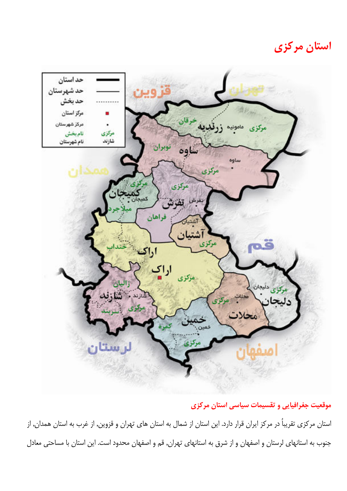استان مرکزی



موقعیت جغرافیایی و تقسیمات سیاسی استان مرکزی استان مرکزی تقریباُ در مرکز ایران قرار دارد. این استان از شمال به استان های تهران و قزوین, از غرب به استان همدان, از جنوب به استانهای لرستان و اصفهان و از شرق به استانهای تهران, قم و اصفهان محدود است. این استان با مساحتی معادل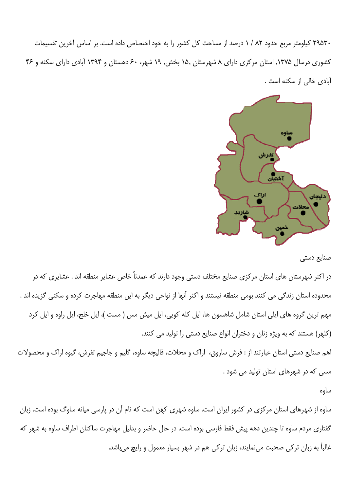۲۹۵۳۰ کیلومتر مربع حدود ۸۲ / ۱ درصد از مساحت کل کشور را به خود اختصاص داده است. بر اساس آخرین تقسیمات کشوری درسال ۱۳۷۵, استان مرکزی دارای ۸ شهرستان ۱۵٫ بخش, ۱۹ شهر، ۶۰ دهستان و ۱۳۹۴ آبادی دارای سکنه و ۴۶ آبادی خالی از سکنه است .



صنایع دستی

در اکثر شهرستان های استان مرکزی صنایع مختلف دستی وجود دارند که عمدتاً خاص عشایر منطقه اند . عشایری که در محدوده استان زندگی می کنند بومی منطقه نیستند و اکثر آنها از نواحی دیگر به این منطقه مهاجرت کرده و سکنی گزیده اند . مهم ترین گروه های ایلی استان شامل شاهسون ها، ایل کله کویی، ایل میش مس ( مست )، ایل خلج، ایل راوه و ایل کرد (کلهر) هستند که به ویژه زنان و دختران انواع صنایع دستی را تولید می کنند.

اهم صنایع دستی استان عبارتند از : فرش ساروق، اراک و محلات، قالیچه ساوه، گلیم و جاجیم تفرش، گیوه اراک و محصولات مسی که در شهرهای استان تولید می شود .

ساوه

ساوه از شهرهای استان مرکزی در کشور ایران است. ساوه شهری کهن است که نام آن در پارسی میانه ساوگ بوده است. زبان گفتاری مردم ساوه تا چندین دهه پیش فقط فارسی بوده است. در حال حاضر و بدلیل مهاجرت ساکنان اطراف ساوه به شهر که غالباً به زبان ترکی صحبت مینمایند، زبان ترکی هم در شهر بسیار معمول و رایچ میباشد.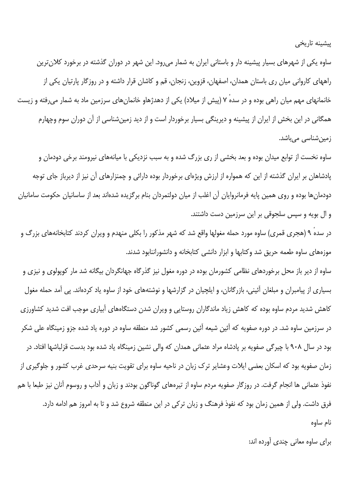پیشینه تاریخی

ساوه یکی از شهرهای بسیار پیشینه دار و باستانی ایران به شمار می٫رود. این شهر در دوران گذشته در برخورد کلان ترین راههای کاروانی میان ری باستان همدان، اصفهان، قزوین، زنجان، قم و کاشان قرار داشته و در روزگار پارتیان یکی از خانمانهای مهم میان راهی بوده و در سده ۷ (پیش از میلاد) یکی از دهدژهاو خانمانهای سرزمین ماد به شمار می رفته و زیست همگانی در این بخش از ایران از پیشینه و دیرینگی بسیار برخوردار است و از دید زمین شناسی از آن دوران سوم وچهارم زمین شناسی می باشد.

ساوه نخست از توابع میدان بوده و بعد بخشی از ری بزرگ شده و به سبب نزدیکی با میانههای نیرومند برخی دودمان و یادشاهان بر ایران گذشته از این که همواره از ارزش ویژهای برخوردار بوده دارائی و چمنزارهای آن نیز از دیرباز جای توجه دودمانها بوده و روی همین پایه فرمانروایان آن اغلب از میان دولتمردان بنام برگزیده شدهاند بعد از ساسانیان حکومت سامانیان و ال بویه و سپس سلجوقی بر این سرزمین دست داشتند.

در سده ۹ (هجری قمری) ساوه مورد حمله مغولها واقع شد که شهر مذکور را بکلی منهدم و ویران کردند کتابخانههای بزرگ و موزههای ساوه طعمه حریق شد وکتابها و ابزار دانشی کتابخانه و دانشوراننابود شدند.

ساوه از دیر باز محل برخوردهای نظامی کشورمان بوده در دوره مغول نیز گذرگاه جهانگردان بیگانه شد مار کوپولوی و نیزی و بسیاری از پیامبران و مبلغان آئینی، بازرگانان، و ایلچیان در گزارشها و نوشتههای خود از ساوه یاد کردهاند. پی آمد حمله مغول کاهش شدید مردم ساوه بوده که کاهش زیاد ماندگاران روستایی و ویران شدن دستگاههای آبیاری موجب افت شدید کشاورزی در سرزمین ساوه شد. در دوره صفویه که آئین شیعه آئین رسمی کشور شد منطقه ساوه در دوره یاد شده جزو زمینگاه علی شکر بود در سال ۹۰۸ با چیرگی صفویه بر پادشاه مراد عثمانی همدان که والی نشین زمینگاه یاد شده بود بدست قزلباشها افتاد. در زمان صفویه بود که اسکان بعضی ایلات وعشایر ترک زبان در ناحیه ساوه برای تقویت بنیه سرحدی غرب کشور و جلوگیری از نفوذ عثمانی ها انجام گرفت. در روزگار صفویه مردم ساوه از تیرههای گوناگون بودند و زبان و آداب و روسوم آنان نیز طبعا با هم فرق داشت. ولی از همین زمان بود که نفوذ فرهنگ و زبان ترکی در این منطقه شروع شد و تا به امروز هم ادامه دارد. نام ساوه

برای ساوه معانی چندی آورده اند: